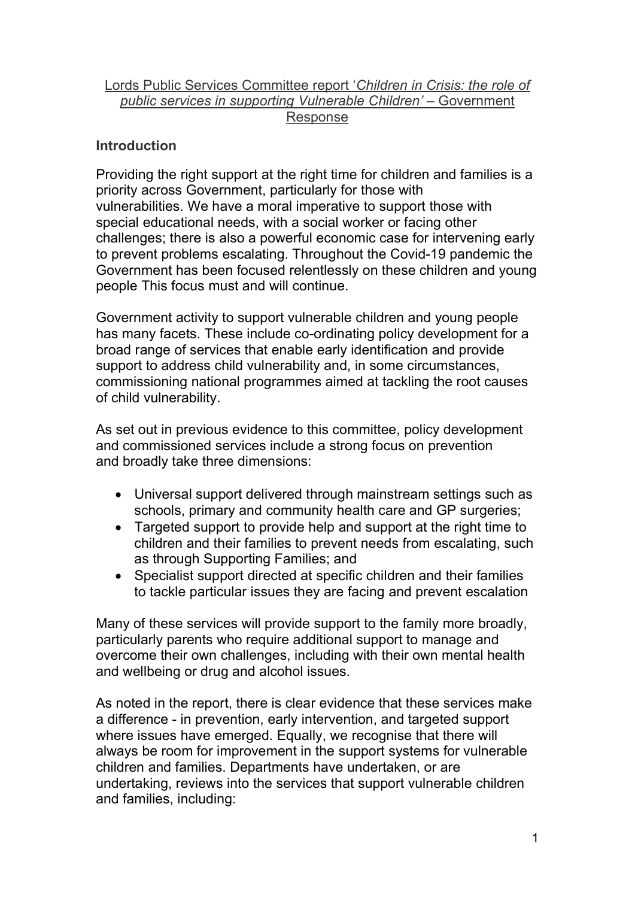# Lords Public Services Committee report 'Children in Crisis: the role of public services in supporting Vulnerable Children' – Government Response

# **Introduction**

Providing the right support at the right time for children and families is a priority across Government, particularly for those with vulnerabilities. We have a moral imperative to support those with special educational needs, with a social worker or facing other challenges; there is also a powerful economic case for intervening early to prevent problems escalating. Throughout the Covid-19 pandemic the Government has been focused relentlessly on these children and young people This focus must and will continue.

Government activity to support vulnerable children and young people has many facets. These include co-ordinating policy development for a broad range of services that enable early identification and provide support to address child vulnerability and, in some circumstances, commissioning national programmes aimed at tackling the root causes of child vulnerability.

As set out in previous evidence to this committee, policy development and commissioned services include a strong focus on prevention and broadly take three dimensions:

- Universal support delivered through mainstream settings such as schools, primary and community health care and GP surgeries;
- Targeted support to provide help and support at the right time to children and their families to prevent needs from escalating, such as through Supporting Families; and
- Specialist support directed at specific children and their families to tackle particular issues they are facing and prevent escalation

Many of these services will provide support to the family more broadly, particularly parents who require additional support to manage and overcome their own challenges, including with their own mental health and wellbeing or drug and alcohol issues.

As noted in the report, there is clear evidence that these services make a difference - in prevention, early intervention, and targeted support where issues have emerged. Equally, we recognise that there will always be room for improvement in the support systems for vulnerable children and families. Departments have undertaken, or are undertaking, reviews into the services that support vulnerable children and families, including: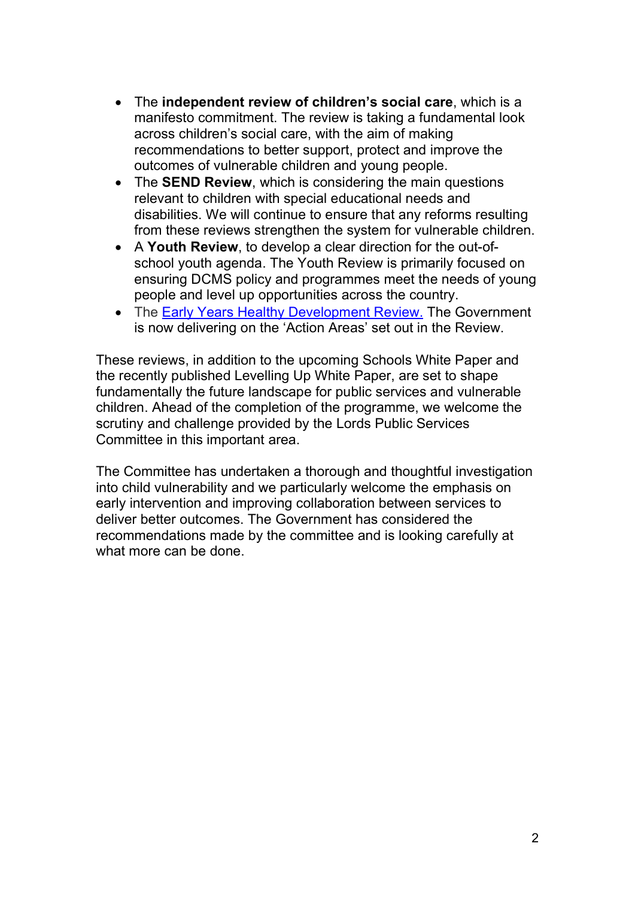- The independent review of children's social care, which is a manifesto commitment. The review is taking a fundamental look across children's social care, with the aim of making recommendations to better support, protect and improve the outcomes of vulnerable children and young people.
- The **SEND Review**, which is considering the main questions relevant to children with special educational needs and disabilities. We will continue to ensure that any reforms resulting from these reviews strengthen the system for vulnerable children.
- A Youth Review, to develop a clear direction for the out-ofschool youth agenda. The Youth Review is primarily focused on ensuring DCMS policy and programmes meet the needs of young people and level up opportunities across the country.
- The Early Years Healthy Development Review. The Government is now delivering on the 'Action Areas' set out in the Review.

These reviews, in addition to the upcoming Schools White Paper and the recently published Levelling Up White Paper, are set to shape fundamentally the future landscape for public services and vulnerable children. Ahead of the completion of the programme, we welcome the scrutiny and challenge provided by the Lords Public Services Committee in this important area.

The Committee has undertaken a thorough and thoughtful investigation into child vulnerability and we particularly welcome the emphasis on early intervention and improving collaboration between services to deliver better outcomes. The Government has considered the recommendations made by the committee and is looking carefully at what more can be done.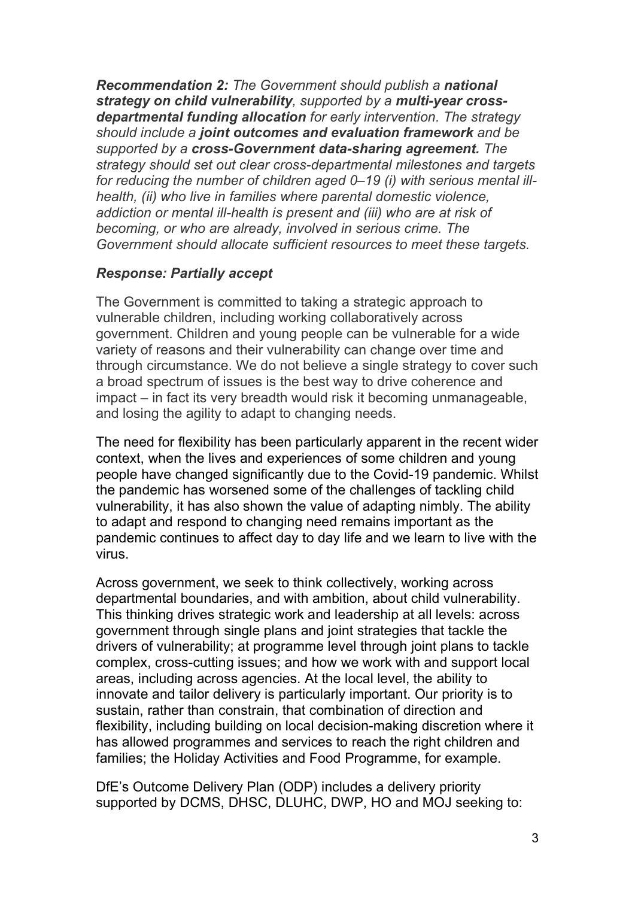Recommendation 2: The Government should publish a national strategy on child vulnerability, supported by a multi-year crossdepartmental funding allocation for early intervention. The strategy should include a joint outcomes and evaluation framework and be supported by a cross-Government data-sharing agreement. The strategy should set out clear cross-departmental milestones and targets for reducing the number of children aged 0–19 (i) with serious mental illhealth, (ii) who live in families where parental domestic violence, addiction or mental ill-health is present and (iii) who are at risk of becoming, or who are already, involved in serious crime. The Government should allocate sufficient resources to meet these targets.

## Response: Partially accept

The Government is committed to taking a strategic approach to vulnerable children, including working collaboratively across government. Children and young people can be vulnerable for a wide variety of reasons and their vulnerability can change over time and through circumstance. We do not believe a single strategy to cover such a broad spectrum of issues is the best way to drive coherence and impact – in fact its very breadth would risk it becoming unmanageable, and losing the agility to adapt to changing needs.

The need for flexibility has been particularly apparent in the recent wider context, when the lives and experiences of some children and young people have changed significantly due to the Covid-19 pandemic. Whilst the pandemic has worsened some of the challenges of tackling child vulnerability, it has also shown the value of adapting nimbly. The ability to adapt and respond to changing need remains important as the pandemic continues to affect day to day life and we learn to live with the virus.

Across government, we seek to think collectively, working across departmental boundaries, and with ambition, about child vulnerability. This thinking drives strategic work and leadership at all levels: across government through single plans and joint strategies that tackle the drivers of vulnerability; at programme level through joint plans to tackle complex, cross-cutting issues; and how we work with and support local areas, including across agencies. At the local level, the ability to innovate and tailor delivery is particularly important. Our priority is to sustain, rather than constrain, that combination of direction and flexibility, including building on local decision-making discretion where it has allowed programmes and services to reach the right children and families; the Holiday Activities and Food Programme, for example.

DfE's Outcome Delivery Plan (ODP) includes a delivery priority supported by DCMS, DHSC, DLUHC, DWP, HO and MOJ seeking to: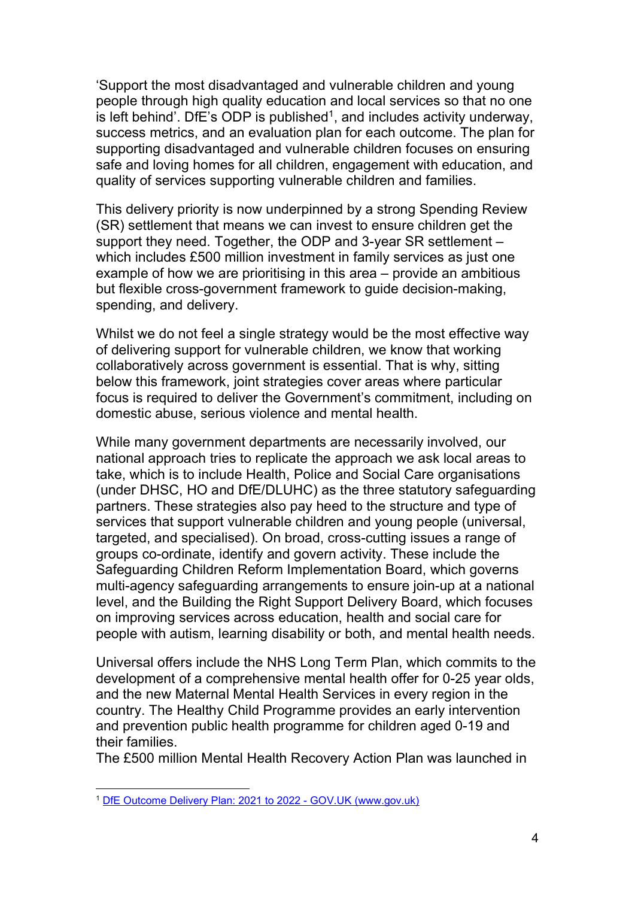'Support the most disadvantaged and vulnerable children and young people through high quality education and local services so that no one is left behind'. DfE's ODP is published<sup>1</sup>, and includes activity underway, success metrics, and an evaluation plan for each outcome. The plan for supporting disadvantaged and vulnerable children focuses on ensuring safe and loving homes for all children, engagement with education, and quality of services supporting vulnerable children and families.

This delivery priority is now underpinned by a strong Spending Review (SR) settlement that means we can invest to ensure children get the support they need. Together, the ODP and 3-year SR settlement – which includes £500 million investment in family services as just one example of how we are prioritising in this area – provide an ambitious but flexible cross-government framework to guide decision-making, spending, and delivery.

Whilst we do not feel a single strategy would be the most effective way of delivering support for vulnerable children, we know that working collaboratively across government is essential. That is why, sitting below this framework, joint strategies cover areas where particular focus is required to deliver the Government's commitment, including on domestic abuse, serious violence and mental health.

While many government departments are necessarily involved, our national approach tries to replicate the approach we ask local areas to take, which is to include Health, Police and Social Care organisations (under DHSC, HO and DfE/DLUHC) as the three statutory safeguarding partners. These strategies also pay heed to the structure and type of services that support vulnerable children and young people (universal, targeted, and specialised). On broad, cross-cutting issues a range of groups co-ordinate, identify and govern activity. These include the Safeguarding Children Reform Implementation Board, which governs multi-agency safeguarding arrangements to ensure join-up at a national level, and the Building the Right Support Delivery Board, which focuses on improving services across education, health and social care for people with autism, learning disability or both, and mental health needs.

Universal offers include the NHS Long Term Plan, which commits to the development of a comprehensive mental health offer for 0-25 year olds, and the new Maternal Mental Health Services in every region in the country. The Healthy Child Programme provides an early intervention and prevention public health programme for children aged 0-19 and their families.

The £500 million Mental Health Recovery Action Plan was launched in

<sup>1</sup> DfE Outcome Delivery Plan: 2021 to 2022 - GOV.UK (www.gov.uk)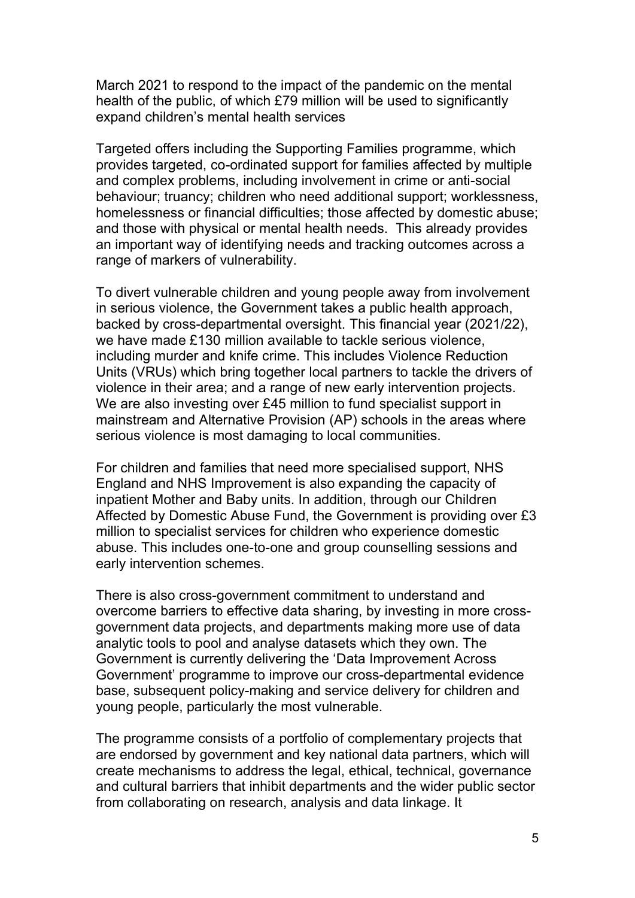March 2021 to respond to the impact of the pandemic on the mental health of the public, of which £79 million will be used to significantly expand children's mental health services

Targeted offers including the Supporting Families programme, which provides targeted, co-ordinated support for families affected by multiple and complex problems, including involvement in crime or anti-social behaviour; truancy; children who need additional support; worklessness, homelessness or financial difficulties; those affected by domestic abuse; and those with physical or mental health needs. This already provides an important way of identifying needs and tracking outcomes across a range of markers of vulnerability.

To divert vulnerable children and young people away from involvement in serious violence, the Government takes a public health approach, backed by cross-departmental oversight. This financial year (2021/22), we have made £130 million available to tackle serious violence, including murder and knife crime. This includes Violence Reduction Units (VRUs) which bring together local partners to tackle the drivers of violence in their area; and a range of new early intervention projects. We are also investing over £45 million to fund specialist support in mainstream and Alternative Provision (AP) schools in the areas where serious violence is most damaging to local communities.

For children and families that need more specialised support, NHS England and NHS Improvement is also expanding the capacity of inpatient Mother and Baby units. In addition, through our Children Affected by Domestic Abuse Fund, the Government is providing over £3 million to specialist services for children who experience domestic abuse. This includes one-to-one and group counselling sessions and early intervention schemes.

There is also cross-government commitment to understand and overcome barriers to effective data sharing, by investing in more crossgovernment data projects, and departments making more use of data analytic tools to pool and analyse datasets which they own. The Government is currently delivering the 'Data Improvement Across Government' programme to improve our cross-departmental evidence base, subsequent policy-making and service delivery for children and young people, particularly the most vulnerable.

The programme consists of a portfolio of complementary projects that are endorsed by government and key national data partners, which will create mechanisms to address the legal, ethical, technical, governance and cultural barriers that inhibit departments and the wider public sector from collaborating on research, analysis and data linkage. It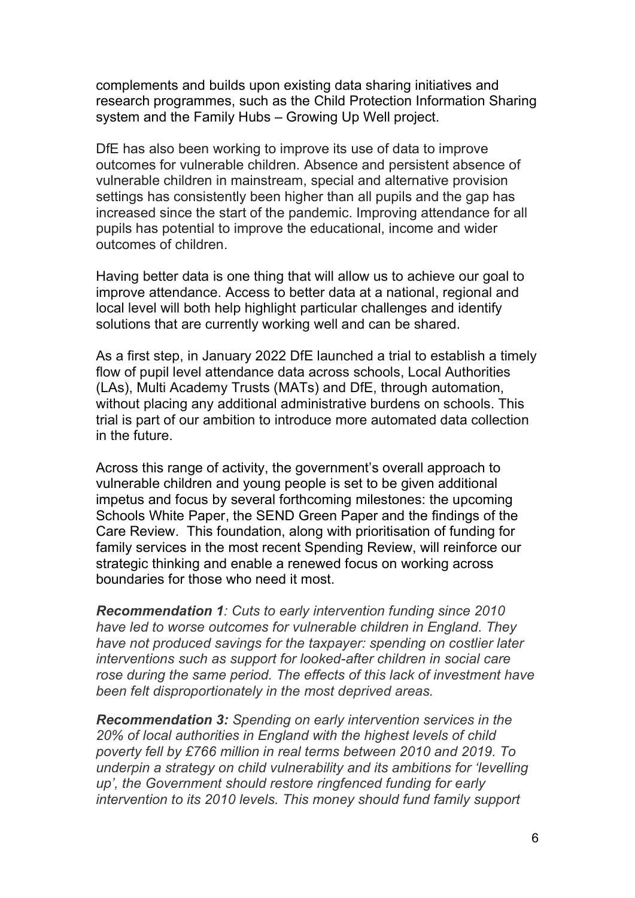complements and builds upon existing data sharing initiatives and research programmes, such as the Child Protection Information Sharing system and the Family Hubs – Growing Up Well project.

DfE has also been working to improve its use of data to improve outcomes for vulnerable children. Absence and persistent absence of vulnerable children in mainstream, special and alternative provision settings has consistently been higher than all pupils and the gap has increased since the start of the pandemic. Improving attendance for all pupils has potential to improve the educational, income and wider outcomes of children.

Having better data is one thing that will allow us to achieve our goal to improve attendance. Access to better data at a national, regional and local level will both help highlight particular challenges and identify solutions that are currently working well and can be shared.

As a first step, in January 2022 DfE launched a trial to establish a timely flow of pupil level attendance data across schools, Local Authorities (LAs), Multi Academy Trusts (MATs) and DfE, through automation, without placing any additional administrative burdens on schools. This trial is part of our ambition to introduce more automated data collection in the future.

Across this range of activity, the government's overall approach to vulnerable children and young people is set to be given additional impetus and focus by several forthcoming milestones: the upcoming Schools White Paper, the SEND Green Paper and the findings of the Care Review. This foundation, along with prioritisation of funding for family services in the most recent Spending Review, will reinforce our strategic thinking and enable a renewed focus on working across boundaries for those who need it most.

Recommendation 1: Cuts to early intervention funding since 2010 have led to worse outcomes for vulnerable children in England. They have not produced savings for the taxpayer: spending on costlier later interventions such as support for looked-after children in social care rose during the same period. The effects of this lack of investment have been felt disproportionately in the most deprived areas.

Recommendation 3: Spending on early intervention services in the 20% of local authorities in England with the highest levels of child poverty fell by £766 million in real terms between 2010 and 2019. To underpin a strategy on child vulnerability and its ambitions for 'levelling up', the Government should restore ringfenced funding for early intervention to its 2010 levels. This money should fund family support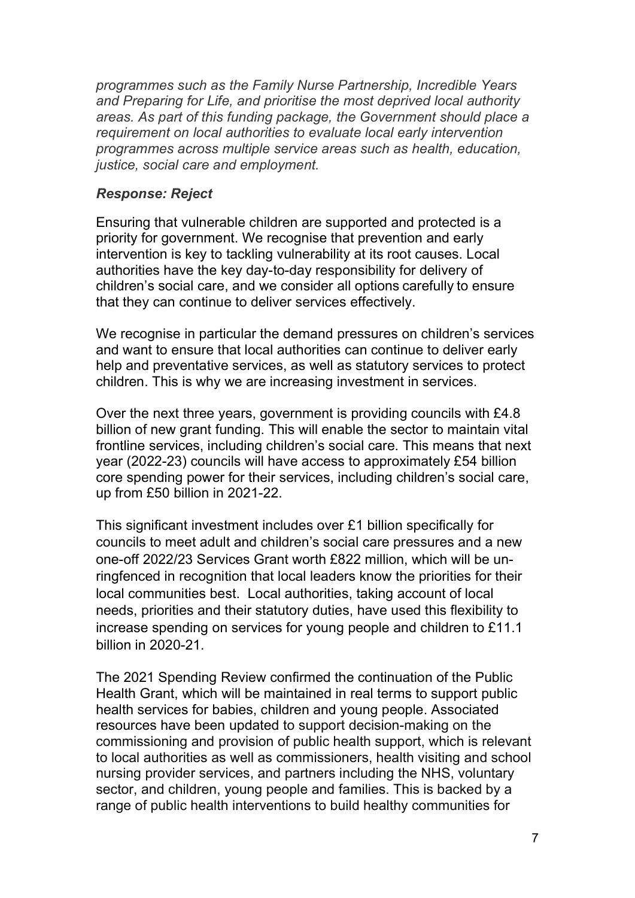programmes such as the Family Nurse Partnership, Incredible Years and Preparing for Life, and prioritise the most deprived local authority areas. As part of this funding package, the Government should place a requirement on local authorities to evaluate local early intervention programmes across multiple service areas such as health, education, justice, social care and employment.

### Response: Reject

Ensuring that vulnerable children are supported and protected is a priority for government. We recognise that prevention and early intervention is key to tackling vulnerability at its root causes. Local authorities have the key day-to-day responsibility for delivery of children's social care, and we consider all options carefully to ensure that they can continue to deliver services effectively.

We recognise in particular the demand pressures on children's services and want to ensure that local authorities can continue to deliver early help and preventative services, as well as statutory services to protect children. This is why we are increasing investment in services.

Over the next three years, government is providing councils with £4.8 billion of new grant funding. This will enable the sector to maintain vital frontline services, including children's social care. This means that next year (2022-23) councils will have access to approximately £54 billion core spending power for their services, including children's social care, up from £50 billion in 2021-22.

This significant investment includes over £1 billion specifically for councils to meet adult and children's social care pressures and a new one-off 2022/23 Services Grant worth £822 million, which will be unringfenced in recognition that local leaders know the priorities for their local communities best. Local authorities, taking account of local needs, priorities and their statutory duties, have used this flexibility to increase spending on services for young people and children to £11.1 billion in 2020-21.

The 2021 Spending Review confirmed the continuation of the Public Health Grant, which will be maintained in real terms to support public health services for babies, children and young people. Associated resources have been updated to support decision-making on the commissioning and provision of public health support, which is relevant to local authorities as well as commissioners, health visiting and school nursing provider services, and partners including the NHS, voluntary sector, and children, young people and families. This is backed by a range of public health interventions to build healthy communities for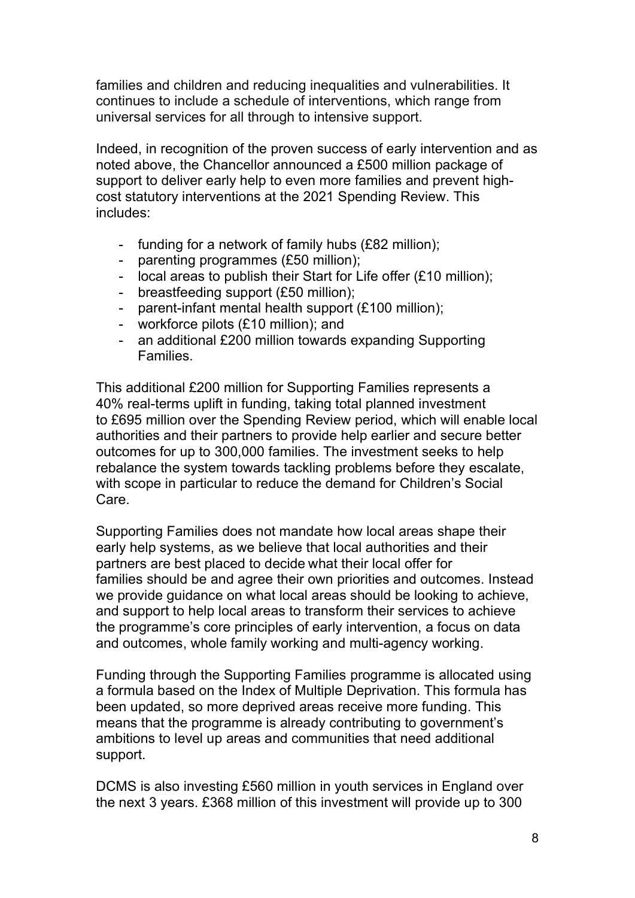families and children and reducing inequalities and vulnerabilities. It continues to include a schedule of interventions, which range from universal services for all through to intensive support.

Indeed, in recognition of the proven success of early intervention and as noted above, the Chancellor announced a £500 million package of support to deliver early help to even more families and prevent highcost statutory interventions at the 2021 Spending Review. This includes:

- funding for a network of family hubs (£82 million);
- parenting programmes (£50 million);
- local areas to publish their Start for Life offer (£10 million);
- breastfeeding support (£50 million);
- parent-infant mental health support (£100 million);
- workforce pilots (£10 million); and
- an additional £200 million towards expanding Supporting Families.

This additional £200 million for Supporting Families represents a 40% real-terms uplift in funding, taking total planned investment to £695 million over the Spending Review period, which will enable local authorities and their partners to provide help earlier and secure better outcomes for up to 300,000 families. The investment seeks to help rebalance the system towards tackling problems before they escalate, with scope in particular to reduce the demand for Children's Social Care.

Supporting Families does not mandate how local areas shape their early help systems, as we believe that local authorities and their partners are best placed to decide what their local offer for families should be and agree their own priorities and outcomes. Instead we provide guidance on what local areas should be looking to achieve, and support to help local areas to transform their services to achieve the programme's core principles of early intervention, a focus on data and outcomes, whole family working and multi-agency working.

Funding through the Supporting Families programme is allocated using a formula based on the Index of Multiple Deprivation. This formula has been updated, so more deprived areas receive more funding. This means that the programme is already contributing to government's ambitions to level up areas and communities that need additional support.

DCMS is also investing £560 million in youth services in England over the next 3 years. £368 million of this investment will provide up to 300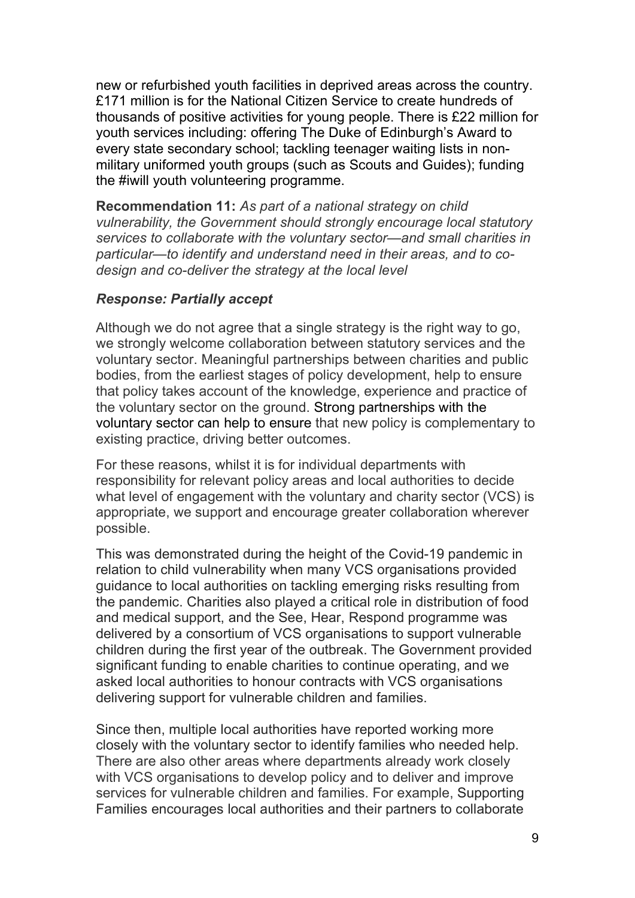new or refurbished youth facilities in deprived areas across the country. £171 million is for the National Citizen Service to create hundreds of thousands of positive activities for young people. There is £22 million for youth services including: offering The Duke of Edinburgh's Award to every state secondary school; tackling teenager waiting lists in nonmilitary uniformed youth groups (such as Scouts and Guides); funding the #iwill youth volunteering programme.

Recommendation 11: As part of a national strategy on child vulnerability, the Government should strongly encourage local statutory services to collaborate with the voluntary sector—and small charities in particular—to identify and understand need in their areas, and to codesign and co-deliver the strategy at the local level

## Response: Partially accept

Although we do not agree that a single strategy is the right way to go, we strongly welcome collaboration between statutory services and the voluntary sector. Meaningful partnerships between charities and public bodies, from the earliest stages of policy development, help to ensure that policy takes account of the knowledge, experience and practice of the voluntary sector on the ground. Strong partnerships with the voluntary sector can help to ensure that new policy is complementary to existing practice, driving better outcomes.

For these reasons, whilst it is for individual departments with responsibility for relevant policy areas and local authorities to decide what level of engagement with the voluntary and charity sector (VCS) is appropriate, we support and encourage greater collaboration wherever possible.

This was demonstrated during the height of the Covid-19 pandemic in relation to child vulnerability when many VCS organisations provided guidance to local authorities on tackling emerging risks resulting from the pandemic. Charities also played a critical role in distribution of food and medical support, and the See, Hear, Respond programme was delivered by a consortium of VCS organisations to support vulnerable children during the first year of the outbreak. The Government provided significant funding to enable charities to continue operating, and we asked local authorities to honour contracts with VCS organisations delivering support for vulnerable children and families.

Since then, multiple local authorities have reported working more closely with the voluntary sector to identify families who needed help. There are also other areas where departments already work closely with VCS organisations to develop policy and to deliver and improve services for vulnerable children and families. For example, Supporting Families encourages local authorities and their partners to collaborate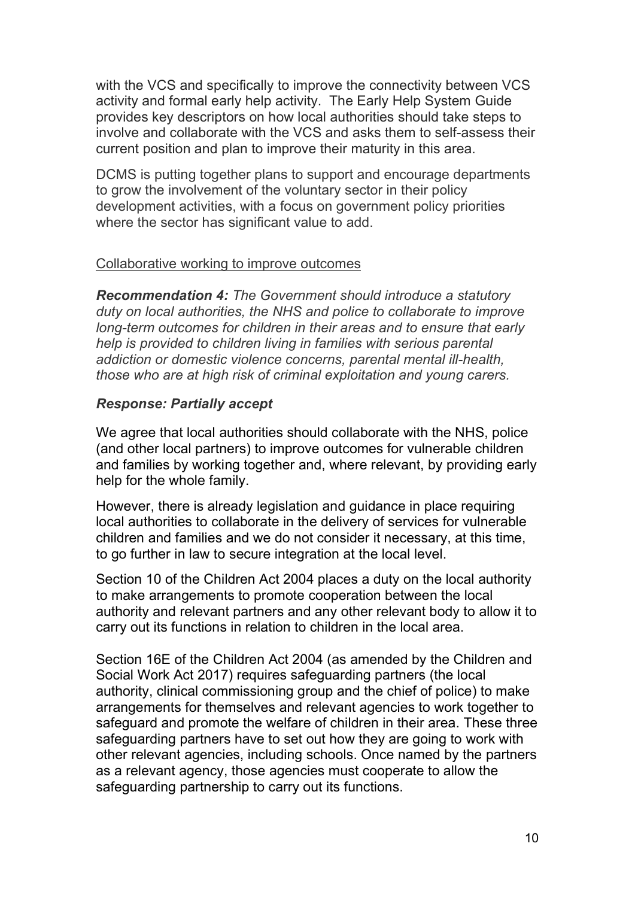with the VCS and specifically to improve the connectivity between VCS activity and formal early help activity. The Early Help System Guide provides key descriptors on how local authorities should take steps to involve and collaborate with the VCS and asks them to self-assess their current position and plan to improve their maturity in this area.

DCMS is putting together plans to support and encourage departments to grow the involvement of the voluntary sector in their policy development activities, with a focus on government policy priorities where the sector has significant value to add.

### Collaborative working to improve outcomes

Recommendation 4: The Government should introduce a statutory duty on local authorities, the NHS and police to collaborate to improve long-term outcomes for children in their areas and to ensure that early help is provided to children living in families with serious parental addiction or domestic violence concerns, parental mental ill-health, those who are at high risk of criminal exploitation and young carers.

#### Response: Partially accept

We agree that local authorities should collaborate with the NHS, police (and other local partners) to improve outcomes for vulnerable children and families by working together and, where relevant, by providing early help for the whole family.

However, there is already legislation and guidance in place requiring local authorities to collaborate in the delivery of services for vulnerable children and families and we do not consider it necessary, at this time, to go further in law to secure integration at the local level.

Section 10 of the Children Act 2004 places a duty on the local authority to make arrangements to promote cooperation between the local authority and relevant partners and any other relevant body to allow it to carry out its functions in relation to children in the local area.

Section 16E of the Children Act 2004 (as amended by the Children and Social Work Act 2017) requires safeguarding partners (the local authority, clinical commissioning group and the chief of police) to make arrangements for themselves and relevant agencies to work together to safeguard and promote the welfare of children in their area. These three safeguarding partners have to set out how they are going to work with other relevant agencies, including schools. Once named by the partners as a relevant agency, those agencies must cooperate to allow the safeguarding partnership to carry out its functions.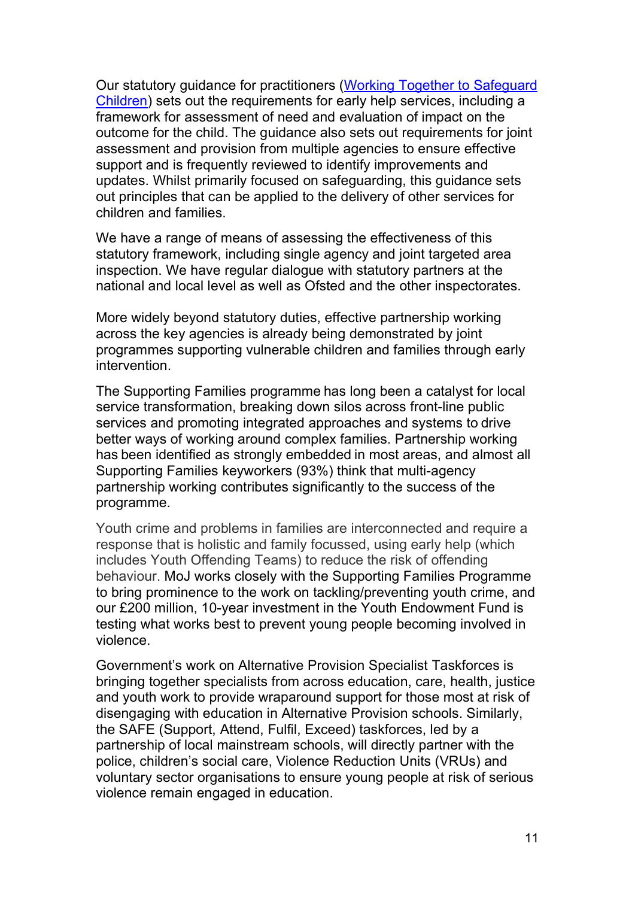Our statutory guidance for practitioners (Working Together to Safeguard Children) sets out the requirements for early help services, including a framework for assessment of need and evaluation of impact on the outcome for the child. The guidance also sets out requirements for joint assessment and provision from multiple agencies to ensure effective support and is frequently reviewed to identify improvements and updates. Whilst primarily focused on safeguarding, this guidance sets out principles that can be applied to the delivery of other services for children and families.

We have a range of means of assessing the effectiveness of this statutory framework, including single agency and joint targeted area inspection. We have regular dialogue with statutory partners at the national and local level as well as Ofsted and the other inspectorates.

More widely beyond statutory duties, effective partnership working across the key agencies is already being demonstrated by joint programmes supporting vulnerable children and families through early intervention.

The Supporting Families programme has long been a catalyst for local service transformation, breaking down silos across front-line public services and promoting integrated approaches and systems to drive better ways of working around complex families. Partnership working has been identified as strongly embedded in most areas, and almost all Supporting Families keyworkers (93%) think that multi-agency partnership working contributes significantly to the success of the programme.

Youth crime and problems in families are interconnected and require a response that is holistic and family focussed, using early help (which includes Youth Offending Teams) to reduce the risk of offending behaviour. MoJ works closely with the Supporting Families Programme to bring prominence to the work on tackling/preventing youth crime, and our £200 million, 10-year investment in the Youth Endowment Fund is testing what works best to prevent young people becoming involved in violence.

Government's work on Alternative Provision Specialist Taskforces is bringing together specialists from across education, care, health, justice and youth work to provide wraparound support for those most at risk of disengaging with education in Alternative Provision schools. Similarly, the SAFE (Support, Attend, Fulfil, Exceed) taskforces, led by a partnership of local mainstream schools, will directly partner with the police, children's social care, Violence Reduction Units (VRUs) and voluntary sector organisations to ensure young people at risk of serious violence remain engaged in education.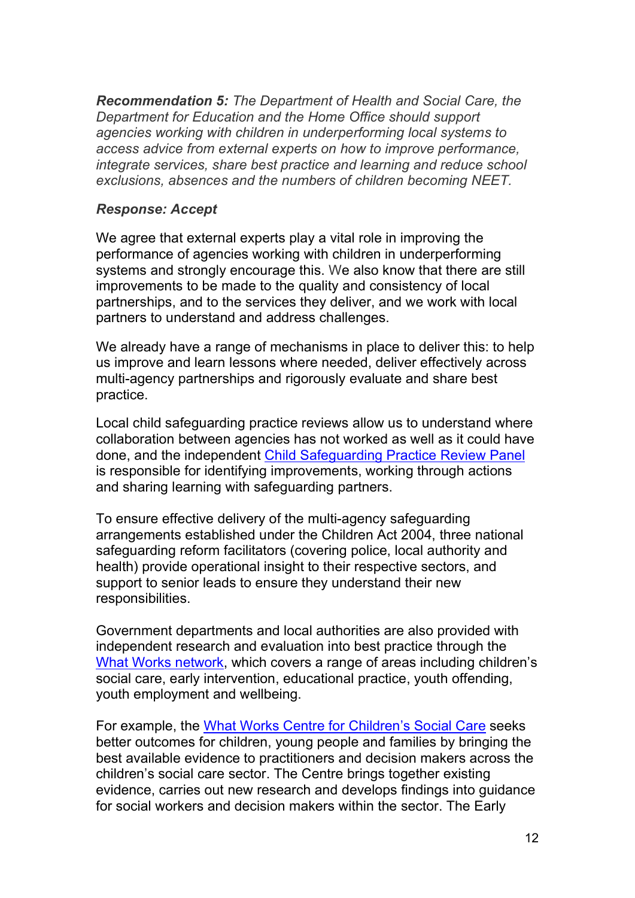Recommendation 5: The Department of Health and Social Care, the Department for Education and the Home Office should support agencies working with children in underperforming local systems to access advice from external experts on how to improve performance, integrate services, share best practice and learning and reduce school exclusions, absences and the numbers of children becoming NEET.

### Response: Accept

We agree that external experts play a vital role in improving the performance of agencies working with children in underperforming systems and strongly encourage this. We also know that there are still improvements to be made to the quality and consistency of local partnerships, and to the services they deliver, and we work with local partners to understand and address challenges.

We already have a range of mechanisms in place to deliver this: to help us improve and learn lessons where needed, deliver effectively across multi-agency partnerships and rigorously evaluate and share best practice.

Local child safeguarding practice reviews allow us to understand where collaboration between agencies has not worked as well as it could have done, and the independent Child Safeguarding Practice Review Panel is responsible for identifying improvements, working through actions and sharing learning with safeguarding partners.

To ensure effective delivery of the multi-agency safeguarding arrangements established under the Children Act 2004, three national safeguarding reform facilitators (covering police, local authority and health) provide operational insight to their respective sectors, and support to senior leads to ensure they understand their new responsibilities.

Government departments and local authorities are also provided with independent research and evaluation into best practice through the What Works network, which covers a range of areas including children's social care, early intervention, educational practice, youth offending, youth employment and wellbeing.

For example, the What Works Centre for Children's Social Care seeks better outcomes for children, young people and families by bringing the best available evidence to practitioners and decision makers across the children's social care sector. The Centre brings together existing evidence, carries out new research and develops findings into guidance for social workers and decision makers within the sector. The Early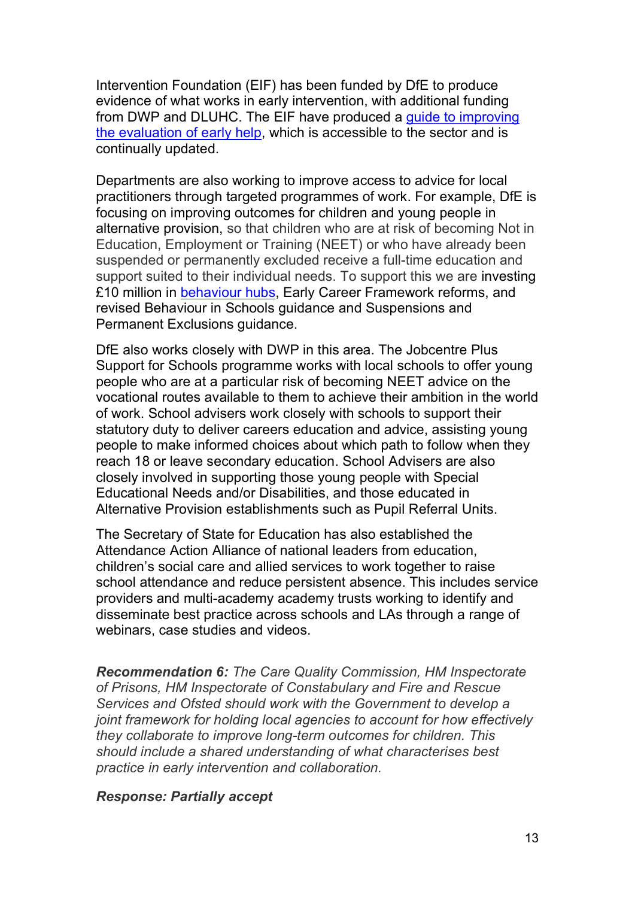Intervention Foundation (EIF) has been funded by DfE to produce evidence of what works in early intervention, with additional funding from DWP and DLUHC. The EIF have produced a guide to improving the evaluation of early help, which is accessible to the sector and is continually updated.

Departments are also working to improve access to advice for local practitioners through targeted programmes of work. For example, DfE is focusing on improving outcomes for children and young people in alternative provision, so that children who are at risk of becoming Not in Education, Employment or Training (NEET) or who have already been suspended or permanently excluded receive a full-time education and support suited to their individual needs. To support this we are investing £10 million in behaviour hubs, Early Career Framework reforms, and revised Behaviour in Schools guidance and Suspensions and Permanent Exclusions guidance.

DfE also works closely with DWP in this area. The Jobcentre Plus Support for Schools programme works with local schools to offer young people who are at a particular risk of becoming NEET advice on the vocational routes available to them to achieve their ambition in the world of work. School advisers work closely with schools to support their statutory duty to deliver careers education and advice, assisting young people to make informed choices about which path to follow when they reach 18 or leave secondary education. School Advisers are also closely involved in supporting those young people with Special Educational Needs and/or Disabilities, and those educated in Alternative Provision establishments such as Pupil Referral Units.

The Secretary of State for Education has also established the Attendance Action Alliance of national leaders from education, children's social care and allied services to work together to raise school attendance and reduce persistent absence. This includes service providers and multi-academy academy trusts working to identify and disseminate best practice across schools and LAs through a range of webinars, case studies and videos.

Recommendation 6: The Care Quality Commission, HM Inspectorate of Prisons, HM Inspectorate of Constabulary and Fire and Rescue Services and Ofsted should work with the Government to develop a joint framework for holding local agencies to account for how effectively they collaborate to improve long-term outcomes for children. This should include a shared understanding of what characterises best practice in early intervention and collaboration.

#### Response: Partially accept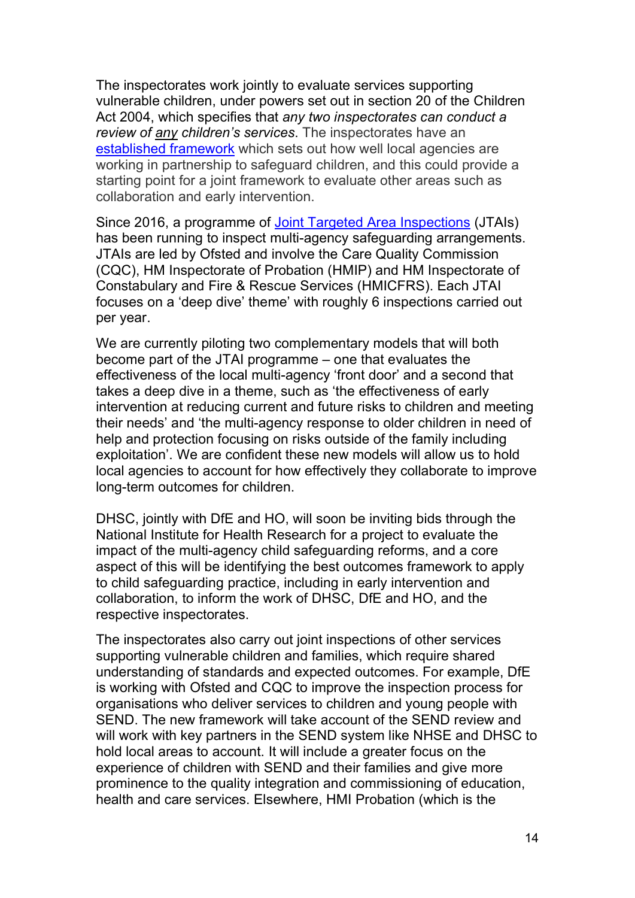The inspectorates work jointly to evaluate services supporting vulnerable children, under powers set out in section 20 of the Children Act 2004, which specifies that any two inspectorates can conduct a review of any children's services. The inspectorates have an established framework which sets out how well local agencies are working in partnership to safeguard children, and this could provide a starting point for a joint framework to evaluate other areas such as collaboration and early intervention.

Since 2016, a programme of Joint Targeted Area Inspections (JTAIs) has been running to inspect multi-agency safeguarding arrangements. JTAIs are led by Ofsted and involve the Care Quality Commission (CQC), HM Inspectorate of Probation (HMIP) and HM Inspectorate of Constabulary and Fire & Rescue Services (HMICFRS). Each JTAI focuses on a 'deep dive' theme' with roughly 6 inspections carried out per year.

We are currently piloting two complementary models that will both become part of the JTAI programme – one that evaluates the effectiveness of the local multi-agency 'front door' and a second that takes a deep dive in a theme, such as 'the effectiveness of early intervention at reducing current and future risks to children and meeting their needs' and 'the multi-agency response to older children in need of help and protection focusing on risks outside of the family including exploitation'. We are confident these new models will allow us to hold local agencies to account for how effectively they collaborate to improve long-term outcomes for children.

DHSC, jointly with DfE and HO, will soon be inviting bids through the National Institute for Health Research for a project to evaluate the impact of the multi-agency child safeguarding reforms, and a core aspect of this will be identifying the best outcomes framework to apply to child safeguarding practice, including in early intervention and collaboration, to inform the work of DHSC, DfE and HO, and the respective inspectorates.

The inspectorates also carry out joint inspections of other services supporting vulnerable children and families, which require shared understanding of standards and expected outcomes. For example, DfE is working with Ofsted and CQC to improve the inspection process for organisations who deliver services to children and young people with SEND. The new framework will take account of the SEND review and will work with key partners in the SEND system like NHSE and DHSC to hold local areas to account. It will include a greater focus on the experience of children with SEND and their families and give more prominence to the quality integration and commissioning of education, health and care services. Elsewhere, HMI Probation (which is the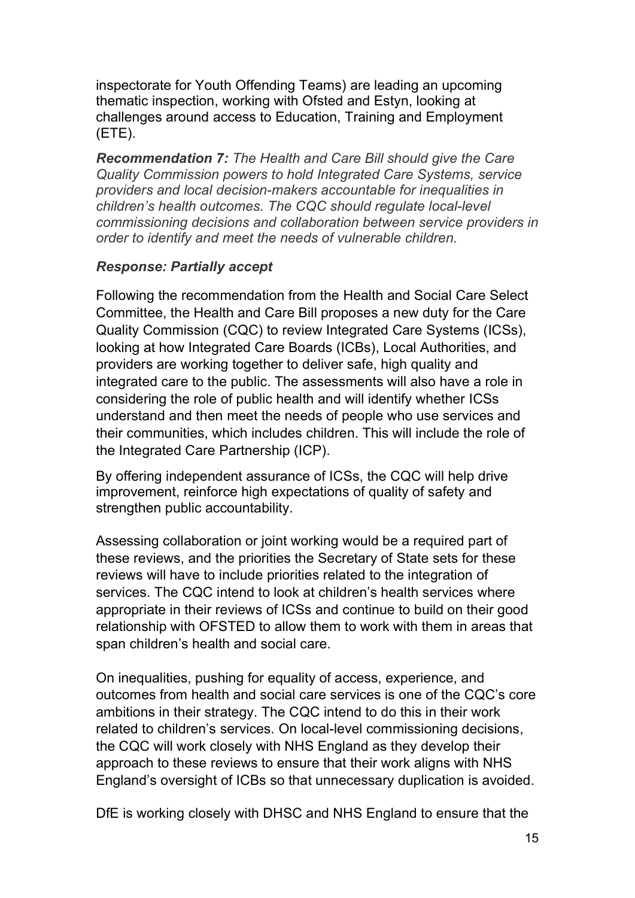inspectorate for Youth Offending Teams) are leading an upcoming thematic inspection, working with Ofsted and Estyn, looking at challenges around access to Education, Training and Employment (ETE).

Recommendation 7: The Health and Care Bill should give the Care Quality Commission powers to hold Integrated Care Systems, service providers and local decision-makers accountable for inequalities in children's health outcomes. The CQC should regulate local-level commissioning decisions and collaboration between service providers in order to identify and meet the needs of vulnerable children.

# Response: Partially accept

Following the recommendation from the Health and Social Care Select Committee, the Health and Care Bill proposes a new duty for the Care Quality Commission (CQC) to review Integrated Care Systems (ICSs), looking at how Integrated Care Boards (ICBs), Local Authorities, and providers are working together to deliver safe, high quality and integrated care to the public. The assessments will also have a role in considering the role of public health and will identify whether ICSs understand and then meet the needs of people who use services and their communities, which includes children. This will include the role of the Integrated Care Partnership (ICP).

By offering independent assurance of ICSs, the CQC will help drive improvement, reinforce high expectations of quality of safety and strengthen public accountability.

Assessing collaboration or joint working would be a required part of these reviews, and the priorities the Secretary of State sets for these reviews will have to include priorities related to the integration of services. The CQC intend to look at children's health services where appropriate in their reviews of ICSs and continue to build on their good relationship with OFSTED to allow them to work with them in areas that span children's health and social care.

On inequalities, pushing for equality of access, experience, and outcomes from health and social care services is one of the CQC's core ambitions in their strategy. The CQC intend to do this in their work related to children's services. On local-level commissioning decisions, the CQC will work closely with NHS England as they develop their approach to these reviews to ensure that their work aligns with NHS England's oversight of ICBs so that unnecessary duplication is avoided.

DfE is working closely with DHSC and NHS England to ensure that the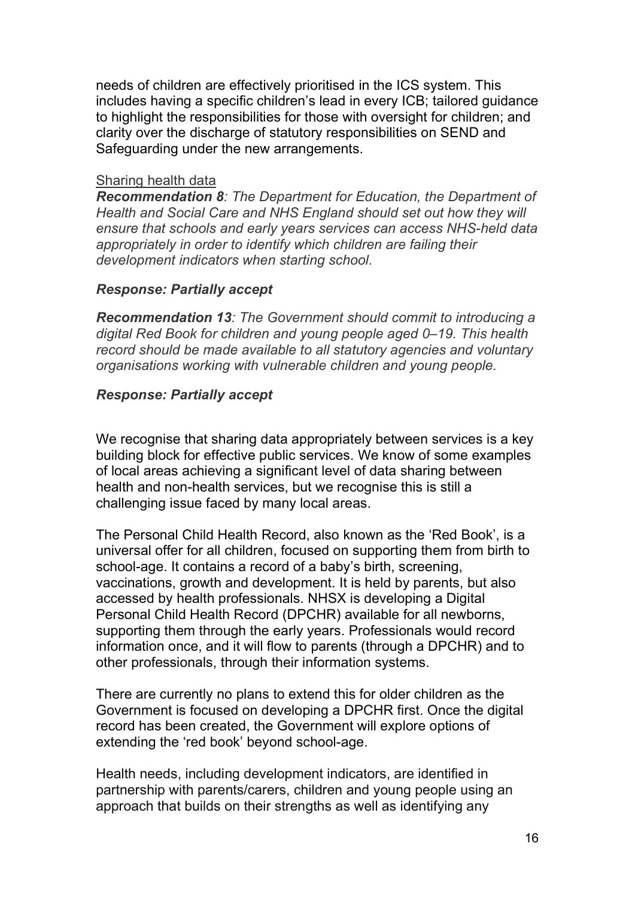needs of children are effectively prioritised in the ICS system. This includes having a specific children's lead in every ICB; tailored guidance to highlight the responsibilities for those with oversight for children; and clarity over the discharge of statutory responsibilities on SEND and Safeguarding under the new arrangements.

### Sharing health data

Recommendation 8: The Department for Education, the Department of Health and Social Care and NHS England should set out how they will ensure that schools and early years services can access NHS-held data appropriately in order to identify which children are failing their development indicators when starting school.

## Response: Partially accept

Recommendation 13: The Government should commit to introducing a digital Red Book for children and young people aged 0–19. This health record should be made available to all statutory agencies and voluntary organisations working with vulnerable children and young people.

## Response: Partially accept

We recognise that sharing data appropriately between services is a key building block for effective public services. We know of some examples of local areas achieving a significant level of data sharing between health and non-health services, but we recognise this is still a challenging issue faced by many local areas.

The Personal Child Health Record, also known as the 'Red Book', is a universal offer for all children, focused on supporting them from birth to school-age. It contains a record of a baby's birth, screening, vaccinations, growth and development. It is held by parents, but also accessed by health professionals. NHSX is developing a Digital Personal Child Health Record (DPCHR) available for all newborns, supporting them through the early years. Professionals would record information once, and it will flow to parents (through a DPCHR) and to other professionals, through their information systems.

There are currently no plans to extend this for older children as the Government is focused on developing a DPCHR first. Once the digital record has been created, the Government will explore options of extending the 'red book' beyond school-age.

Health needs, including development indicators, are identified in partnership with parents/carers, children and young people using an approach that builds on their strengths as well as identifying any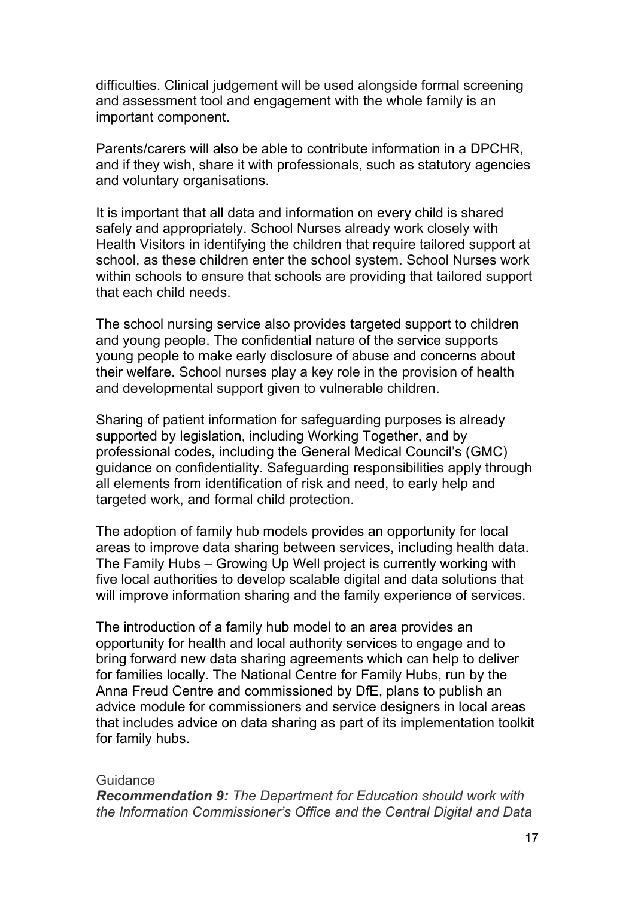difficulties. Clinical judgement will be used alongside formal screening and assessment tool and engagement with the whole family is an important component.

Parents/carers will also be able to contribute information in a DPCHR, and if they wish, share it with professionals, such as statutory agencies and voluntary organisations.

It is important that all data and information on every child is shared safely and appropriately. School Nurses already work closely with Health Visitors in identifying the children that require tailored support at school, as these children enter the school system. School Nurses work within schools to ensure that schools are providing that tailored support that each child needs.

The school nursing service also provides targeted support to children and young people. The confidential nature of the service supports young people to make early disclosure of abuse and concerns about their welfare. School nurses play a key role in the provision of health and developmental support given to vulnerable children.

Sharing of patient information for safeguarding purposes is already supported by legislation, including Working Together, and by professional codes, including the General Medical Council's (GMC) guidance on confidentiality. Safeguarding responsibilities apply through all elements from identification of risk and need, to early help and targeted work, and formal child protection.

The adoption of family hub models provides an opportunity for local areas to improve data sharing between services, including health data. The Family Hubs – Growing Up Well project is currently working with five local authorities to develop scalable digital and data solutions that will improve information sharing and the family experience of services.

The introduction of a family hub model to an area provides an opportunity for health and local authority services to engage and to bring forward new data sharing agreements which can help to deliver for families locally. The National Centre for Family Hubs, run by the Anna Freud Centre and commissioned by DfE, plans to publish an advice module for commissioners and service designers in local areas that includes advice on data sharing as part of its implementation toolkit for family hubs.

#### **Guidance**

Recommendation 9: The Department for Education should work with the Information Commissioner's Office and the Central Digital and Data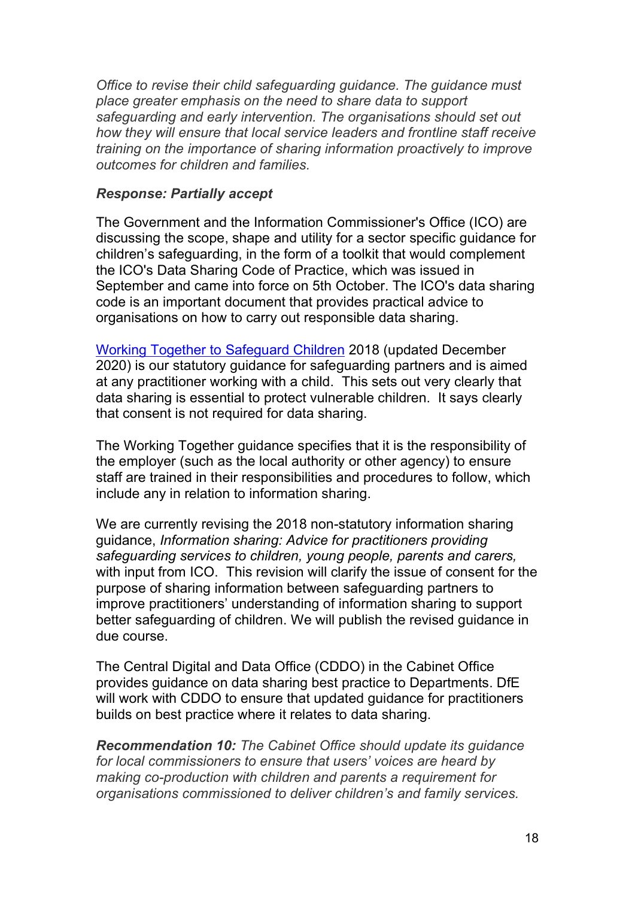Office to revise their child safeguarding guidance. The guidance must place greater emphasis on the need to share data to support safeguarding and early intervention. The organisations should set out how they will ensure that local service leaders and frontline staff receive training on the importance of sharing information proactively to improve outcomes for children and families.

### Response: Partially accept

The Government and the Information Commissioner's Office (ICO) are discussing the scope, shape and utility for a sector specific guidance for children's safeguarding, in the form of a toolkit that would complement the ICO's Data Sharing Code of Practice, which was issued in September and came into force on 5th October. The ICO's data sharing code is an important document that provides practical advice to organisations on how to carry out responsible data sharing.

Working Together to Safeguard Children 2018 (updated December 2020) is our statutory guidance for safeguarding partners and is aimed at any practitioner working with a child. This sets out very clearly that data sharing is essential to protect vulnerable children. It says clearly that consent is not required for data sharing.

The Working Together guidance specifies that it is the responsibility of the employer (such as the local authority or other agency) to ensure staff are trained in their responsibilities and procedures to follow, which include any in relation to information sharing.

We are currently revising the 2018 non-statutory information sharing guidance, Information sharing: Advice for practitioners providing safeguarding services to children, young people, parents and carers, with input from ICO. This revision will clarify the issue of consent for the purpose of sharing information between safeguarding partners to improve practitioners' understanding of information sharing to support better safeguarding of children. We will publish the revised guidance in due course.

The Central Digital and Data Office (CDDO) in the Cabinet Office provides guidance on data sharing best practice to Departments. DfE will work with CDDO to ensure that updated guidance for practitioners builds on best practice where it relates to data sharing.

Recommendation 10: The Cabinet Office should update its guidance for local commissioners to ensure that users' voices are heard by making co-production with children and parents a requirement for organisations commissioned to deliver children's and family services.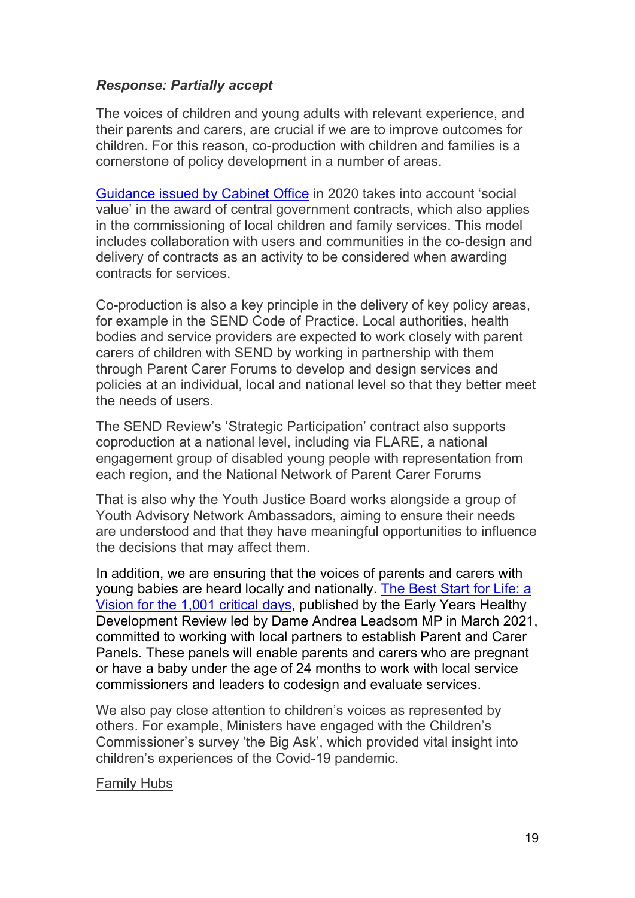## Response: Partially accept

The voices of children and young adults with relevant experience, and their parents and carers, are crucial if we are to improve outcomes for children. For this reason, co-production with children and families is a cornerstone of policy development in a number of areas.

Guidance issued by Cabinet Office in 2020 takes into account 'social value' in the award of central government contracts, which also applies in the commissioning of local children and family services. This model includes collaboration with users and communities in the co-design and delivery of contracts as an activity to be considered when awarding contracts for services.

Co-production is also a key principle in the delivery of key policy areas, for example in the SEND Code of Practice. Local authorities, health bodies and service providers are expected to work closely with parent carers of children with SEND by working in partnership with them through Parent Carer Forums to develop and design services and policies at an individual, local and national level so that they better meet the needs of users.

The SEND Review's 'Strategic Participation' contract also supports coproduction at a national level, including via FLARE, a national engagement group of disabled young people with representation from each region, and the National Network of Parent Carer Forums

That is also why the Youth Justice Board works alongside a group of Youth Advisory Network Ambassadors, aiming to ensure their needs are understood and that they have meaningful opportunities to influence the decisions that may affect them.

In addition, we are ensuring that the voices of parents and carers with young babies are heard locally and nationally. The Best Start for Life: a Vision for the 1,001 critical days, published by the Early Years Healthy Development Review led by Dame Andrea Leadsom MP in March 2021, committed to working with local partners to establish Parent and Carer Panels. These panels will enable parents and carers who are pregnant or have a baby under the age of 24 months to work with local service commissioners and leaders to codesign and evaluate services.

We also pay close attention to children's voices as represented by others. For example, Ministers have engaged with the Children's Commissioner's survey 'the Big Ask', which provided vital insight into children's experiences of the Covid-19 pandemic.

#### Family Hubs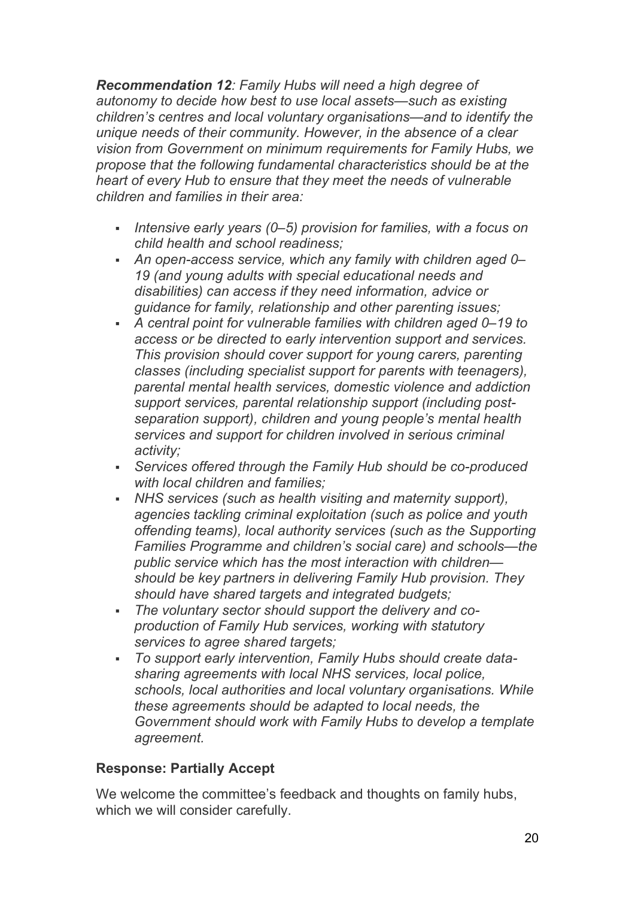Recommendation 12: Family Hubs will need a high degree of autonomy to decide how best to use local assets—such as existing children's centres and local voluntary organisations—and to identify the unique needs of their community. However, in the absence of a clear vision from Government on minimum requirements for Family Hubs, we propose that the following fundamental characteristics should be at the heart of every Hub to ensure that they meet the needs of vulnerable children and families in their area:

- Intensive early years  $(0-5)$  provision for families, with a focus on child health and school readiness;
- An open-access service, which any family with children aged 0– 19 (and young adults with special educational needs and disabilities) can access if they need information, advice or guidance for family, relationship and other parenting issues;
- A central point for vulnerable families with children aged 0–19 to access or be directed to early intervention support and services. This provision should cover support for young carers, parenting classes (including specialist support for parents with teenagers), parental mental health services, domestic violence and addiction support services, parental relationship support (including postseparation support), children and young people's mental health services and support for children involved in serious criminal activity;
- Services offered through the Family Hub should be co-produced with local children and families:
- NHS services (such as health visiting and maternity support), agencies tackling criminal exploitation (such as police and youth offending teams), local authority services (such as the Supporting Families Programme and children's social care) and schools—the public service which has the most interaction with children should be key partners in delivering Family Hub provision. They should have shared targets and integrated budgets;
- The voluntary sector should support the delivery and coproduction of Family Hub services, working with statutory services to agree shared targets;
- To support early intervention, Family Hubs should create datasharing agreements with local NHS services, local police, schools, local authorities and local voluntary organisations. While these agreements should be adapted to local needs, the Government should work with Family Hubs to develop a template agreement.

# Response: Partially Accept

We welcome the committee's feedback and thoughts on family hubs, which we will consider carefully.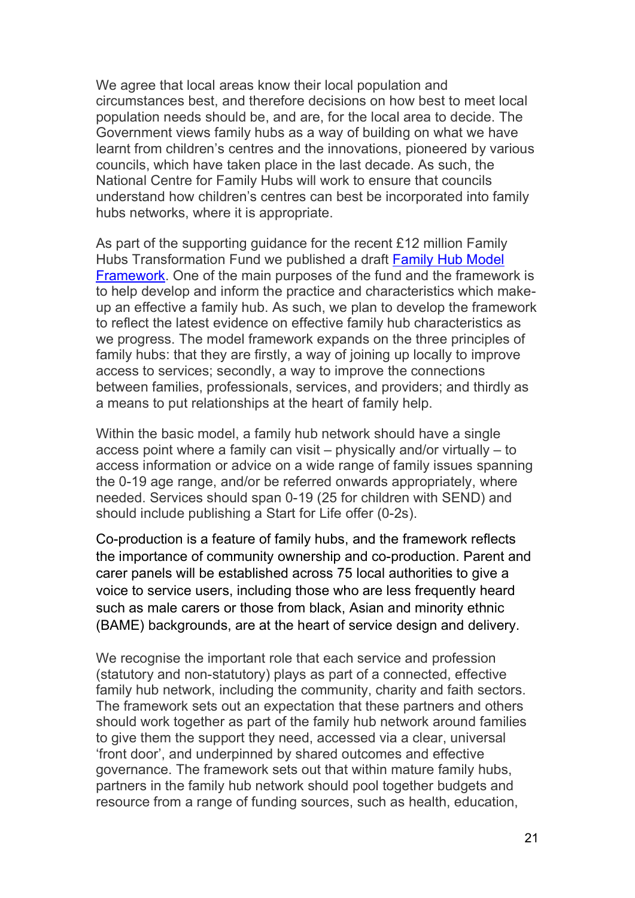We agree that local areas know their local population and circumstances best, and therefore decisions on how best to meet local population needs should be, and are, for the local area to decide. The Government views family hubs as a way of building on what we have learnt from children's centres and the innovations, pioneered by various councils, which have taken place in the last decade. As such, the National Centre for Family Hubs will work to ensure that councils understand how children's centres can best be incorporated into family hubs networks, where it is appropriate.

As part of the supporting guidance for the recent £12 million Family Hubs Transformation Fund we published a draft Family Hub Model Framework. One of the main purposes of the fund and the framework is to help develop and inform the practice and characteristics which makeup an effective a family hub. As such, we plan to develop the framework to reflect the latest evidence on effective family hub characteristics as we progress. The model framework expands on the three principles of family hubs: that they are firstly, a way of joining up locally to improve access to services; secondly, a way to improve the connections between families, professionals, services, and providers; and thirdly as a means to put relationships at the heart of family help.

Within the basic model, a family hub network should have a single access point where a family can visit – physically and/or virtually – to access information or advice on a wide range of family issues spanning the 0-19 age range, and/or be referred onwards appropriately, where needed. Services should span 0-19 (25 for children with SEND) and should include publishing a Start for Life offer (0-2s).

Co-production is a feature of family hubs, and the framework reflects the importance of community ownership and co-production. Parent and carer panels will be established across 75 local authorities to give a voice to service users, including those who are less frequently heard such as male carers or those from black, Asian and minority ethnic (BAME) backgrounds, are at the heart of service design and delivery.

We recognise the important role that each service and profession (statutory and non-statutory) plays as part of a connected, effective family hub network, including the community, charity and faith sectors. The framework sets out an expectation that these partners and others should work together as part of the family hub network around families to give them the support they need, accessed via a clear, universal 'front door', and underpinned by shared outcomes and effective governance. The framework sets out that within mature family hubs, partners in the family hub network should pool together budgets and resource from a range of funding sources, such as health, education,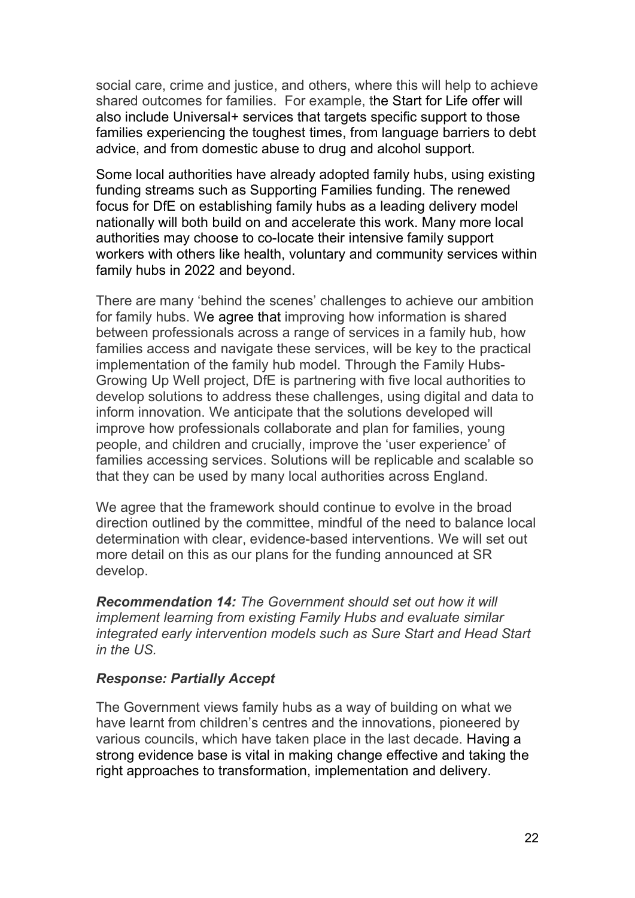social care, crime and justice, and others, where this will help to achieve shared outcomes for families. For example, the Start for Life offer will also include Universal+ services that targets specific support to those families experiencing the toughest times, from language barriers to debt advice, and from domestic abuse to drug and alcohol support.

Some local authorities have already adopted family hubs, using existing funding streams such as Supporting Families funding. The renewed focus for DfE on establishing family hubs as a leading delivery model nationally will both build on and accelerate this work. Many more local authorities may choose to co-locate their intensive family support workers with others like health, voluntary and community services within family hubs in 2022 and beyond.

There are many 'behind the scenes' challenges to achieve our ambition for family hubs. We agree that improving how information is shared between professionals across a range of services in a family hub, how families access and navigate these services, will be key to the practical implementation of the family hub model. Through the Family Hubs-Growing Up Well project, DfE is partnering with five local authorities to develop solutions to address these challenges, using digital and data to inform innovation. We anticipate that the solutions developed will improve how professionals collaborate and plan for families, young people, and children and crucially, improve the 'user experience' of families accessing services. Solutions will be replicable and scalable so that they can be used by many local authorities across England.

We agree that the framework should continue to evolve in the broad direction outlined by the committee, mindful of the need to balance local determination with clear, evidence-based interventions. We will set out more detail on this as our plans for the funding announced at SR develop.

Recommendation 14: The Government should set out how it will implement learning from existing Family Hubs and evaluate similar integrated early intervention models such as Sure Start and Head Start in the US.

### Response: Partially Accept

The Government views family hubs as a way of building on what we have learnt from children's centres and the innovations, pioneered by various councils, which have taken place in the last decade. Having a strong evidence base is vital in making change effective and taking the right approaches to transformation, implementation and delivery.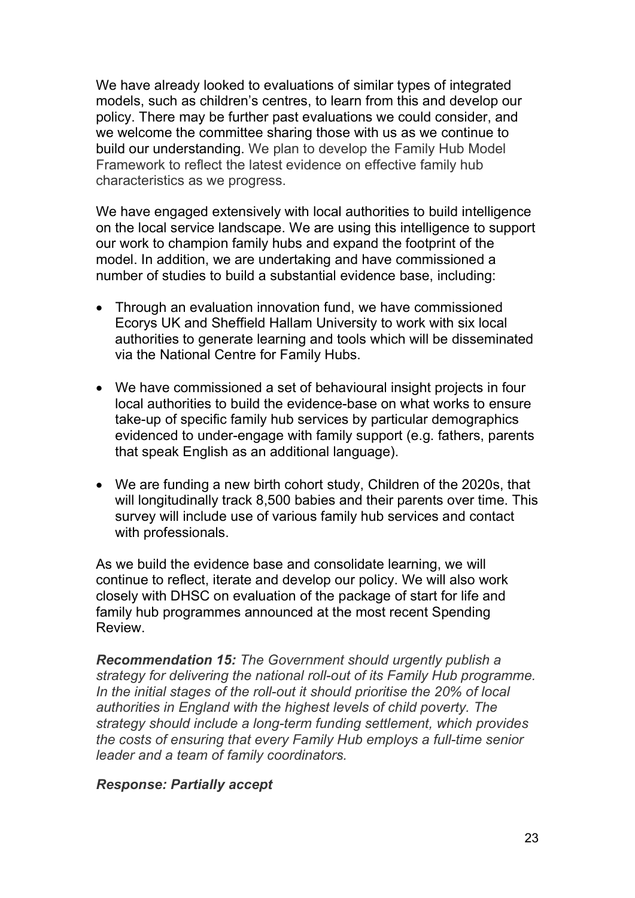We have already looked to evaluations of similar types of integrated models, such as children's centres, to learn from this and develop our policy. There may be further past evaluations we could consider, and we welcome the committee sharing those with us as we continue to build our understanding. We plan to develop the Family Hub Model Framework to reflect the latest evidence on effective family hub characteristics as we progress.

We have engaged extensively with local authorities to build intelligence on the local service landscape. We are using this intelligence to support our work to champion family hubs and expand the footprint of the model. In addition, we are undertaking and have commissioned a number of studies to build a substantial evidence base, including:

- Through an evaluation innovation fund, we have commissioned Ecorys UK and Sheffield Hallam University to work with six local authorities to generate learning and tools which will be disseminated via the National Centre for Family Hubs.
- We have commissioned a set of behavioural insight projects in four local authorities to build the evidence-base on what works to ensure take-up of specific family hub services by particular demographics evidenced to under-engage with family support (e.g. fathers, parents that speak English as an additional language).
- We are funding a new birth cohort study, Children of the 2020s, that will longitudinally track 8,500 babies and their parents over time. This survey will include use of various family hub services and contact with professionals.

As we build the evidence base and consolidate learning, we will continue to reflect, iterate and develop our policy. We will also work closely with DHSC on evaluation of the package of start for life and family hub programmes announced at the most recent Spending Review.

Recommendation 15: The Government should urgently publish a strategy for delivering the national roll-out of its Family Hub programme. In the initial stages of the roll-out it should prioritise the 20% of local authorities in England with the highest levels of child poverty. The strategy should include a long-term funding settlement, which provides the costs of ensuring that every Family Hub employs a full-time senior leader and a team of family coordinators.

### Response: Partially accept